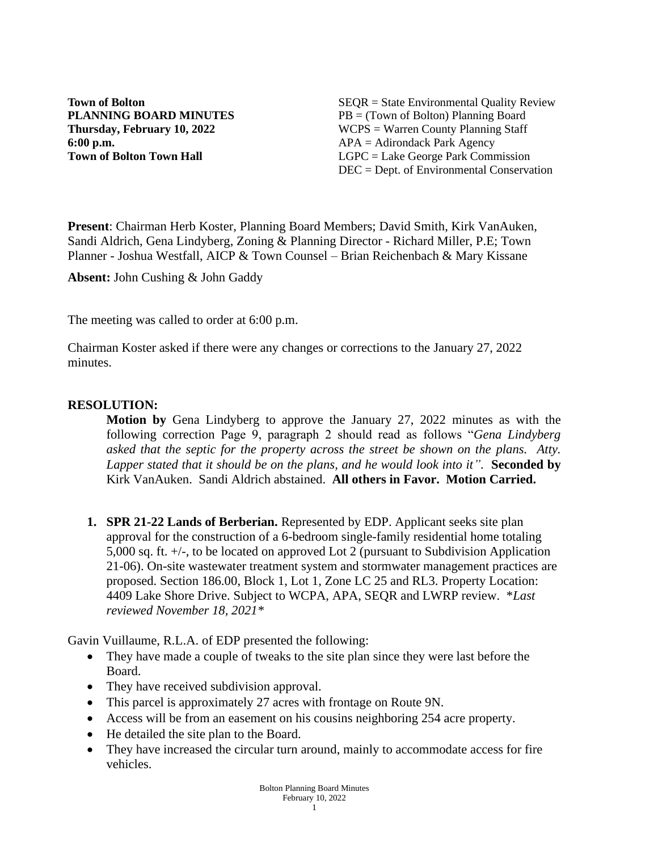**6:00 p.m.** APA = Adirondack Park Agency

**Town of Bolton** SEQR = State Environmental Quality Review **PLANNING BOARD MINUTES** PB = (Town of Bolton) Planning Board **Thursday, February 10, 2022** WCPS = Warren County Planning Staff **Town of Bolton Town Hall LGPC** = Lake George Park Commission DEC = Dept. of Environmental Conservation

**Present**: Chairman Herb Koster, Planning Board Members; David Smith, Kirk VanAuken, Sandi Aldrich, Gena Lindyberg, Zoning & Planning Director - Richard Miller, P.E; Town Planner - Joshua Westfall, AICP & Town Counsel – Brian Reichenbach & Mary Kissane

**Absent:** John Cushing & John Gaddy

The meeting was called to order at 6:00 p.m.

Chairman Koster asked if there were any changes or corrections to the January 27, 2022 minutes.

### **RESOLUTION:**

**Motion by** Gena Lindyberg to approve the January 27, 2022 minutes as with the following correction Page 9, paragraph 2 should read as follows "*Gena Lindyberg asked that the septic for the property across the street be shown on the plans. Atty. Lapper stated that it should be on the plans, and he would look into it"*. **Seconded by** Kirk VanAuken. Sandi Aldrich abstained. **All others in Favor. Motion Carried.**

**1. SPR 21-22 Lands of Berberian.** Represented by EDP. Applicant seeks site plan approval for the construction of a 6-bedroom single-family residential home totaling 5,000 sq. ft. +/-, to be located on approved Lot 2 (pursuant to Subdivision Application 21-06). On-site wastewater treatment system and stormwater management practices are proposed. Section 186.00, Block 1, Lot 1, Zone LC 25 and RL3. Property Location: 4409 Lake Shore Drive. Subject to WCPA, APA, SEQR and LWRP review. \**Last reviewed November 18, 2021\**

Gavin Vuillaume, R.L.A. of EDP presented the following:

- They have made a couple of tweaks to the site plan since they were last before the Board.
- They have received subdivision approval.
- This parcel is approximately 27 acres with frontage on Route 9N.
- Access will be from an easement on his cousins neighboring 254 acre property.
- He detailed the site plan to the Board.
- They have increased the circular turn around, mainly to accommodate access for fire vehicles.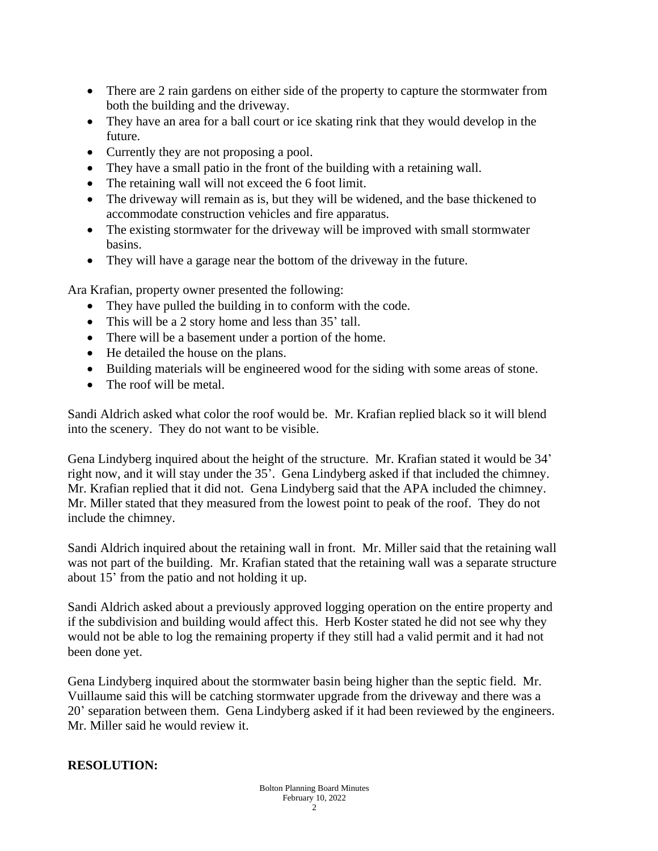- There are 2 rain gardens on either side of the property to capture the stormwater from both the building and the driveway.
- They have an area for a ball court or ice skating rink that they would develop in the future.
- Currently they are not proposing a pool.
- They have a small patio in the front of the building with a retaining wall.
- The retaining wall will not exceed the 6 foot limit.
- The driveway will remain as is, but they will be widened, and the base thickened to accommodate construction vehicles and fire apparatus.
- The existing stormwater for the driveway will be improved with small stormwater basins.
- They will have a garage near the bottom of the driveway in the future.

Ara Krafian, property owner presented the following:

- They have pulled the building in to conform with the code.
- This will be a 2 story home and less than 35' tall.
- There will be a basement under a portion of the home.
- He detailed the house on the plans.
- Building materials will be engineered wood for the siding with some areas of stone.
- The roof will be metal.

Sandi Aldrich asked what color the roof would be. Mr. Krafian replied black so it will blend into the scenery. They do not want to be visible.

Gena Lindyberg inquired about the height of the structure. Mr. Krafian stated it would be 34' right now, and it will stay under the 35'. Gena Lindyberg asked if that included the chimney. Mr. Krafian replied that it did not. Gena Lindyberg said that the APA included the chimney. Mr. Miller stated that they measured from the lowest point to peak of the roof. They do not include the chimney.

Sandi Aldrich inquired about the retaining wall in front. Mr. Miller said that the retaining wall was not part of the building. Mr. Krafian stated that the retaining wall was a separate structure about 15' from the patio and not holding it up.

Sandi Aldrich asked about a previously approved logging operation on the entire property and if the subdivision and building would affect this. Herb Koster stated he did not see why they would not be able to log the remaining property if they still had a valid permit and it had not been done yet.

Gena Lindyberg inquired about the stormwater basin being higher than the septic field. Mr. Vuillaume said this will be catching stormwater upgrade from the driveway and there was a 20' separation between them. Gena Lindyberg asked if it had been reviewed by the engineers. Mr. Miller said he would review it.

# **RESOLUTION:**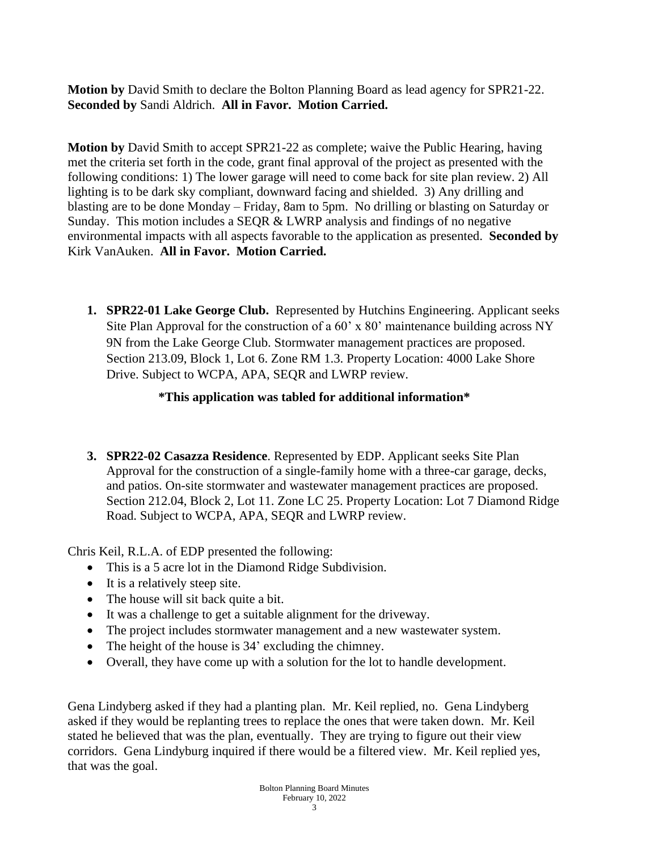**Motion by** David Smith to declare the Bolton Planning Board as lead agency for SPR21-22. **Seconded by** Sandi Aldrich. **All in Favor. Motion Carried.** 

**Motion by** David Smith to accept SPR21-22 as complete; waive the Public Hearing, having met the criteria set forth in the code, grant final approval of the project as presented with the following conditions: 1) The lower garage will need to come back for site plan review. 2) All lighting is to be dark sky compliant, downward facing and shielded. 3) Any drilling and blasting are to be done Monday – Friday, 8am to 5pm. No drilling or blasting on Saturday or Sunday. This motion includes a SEQR & LWRP analysis and findings of no negative environmental impacts with all aspects favorable to the application as presented. **Seconded by** Kirk VanAuken. **All in Favor. Motion Carried.** 

**1. SPR22-01 Lake George Club.** Represented by Hutchins Engineering. Applicant seeks Site Plan Approval for the construction of a 60' x 80' maintenance building across NY 9N from the Lake George Club. Stormwater management practices are proposed. Section 213.09, Block 1, Lot 6. Zone RM 1.3. Property Location: 4000 Lake Shore Drive. Subject to WCPA, APA, SEQR and LWRP review.

## **\*This application was tabled for additional information\***

**3. SPR22-02 Casazza Residence**. Represented by EDP. Applicant seeks Site Plan Approval for the construction of a single-family home with a three-car garage, decks, and patios. On-site stormwater and wastewater management practices are proposed. Section 212.04, Block 2, Lot 11. Zone LC 25. Property Location: Lot 7 Diamond Ridge Road. Subject to WCPA, APA, SEQR and LWRP review.

Chris Keil, R.L.A. of EDP presented the following:

- This is a 5 acre lot in the Diamond Ridge Subdivision.
- It is a relatively steep site.
- The house will sit back quite a bit.
- It was a challenge to get a suitable alignment for the driveway.
- The project includes stormwater management and a new wastewater system.
- The height of the house is 34' excluding the chimney.
- Overall, they have come up with a solution for the lot to handle development.

Gena Lindyberg asked if they had a planting plan. Mr. Keil replied, no. Gena Lindyberg asked if they would be replanting trees to replace the ones that were taken down. Mr. Keil stated he believed that was the plan, eventually. They are trying to figure out their view corridors. Gena Lindyburg inquired if there would be a filtered view. Mr. Keil replied yes, that was the goal.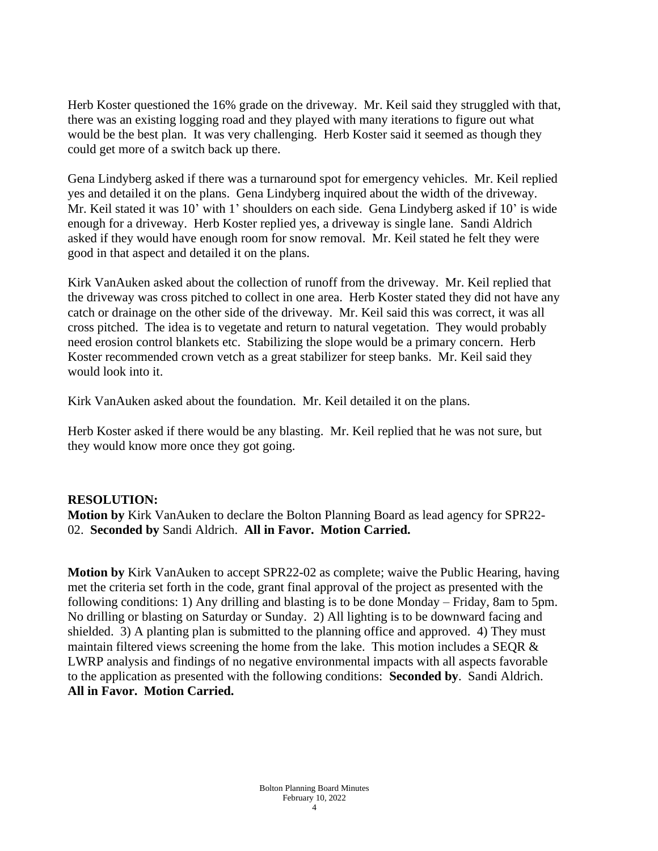Herb Koster questioned the 16% grade on the driveway. Mr. Keil said they struggled with that, there was an existing logging road and they played with many iterations to figure out what would be the best plan. It was very challenging. Herb Koster said it seemed as though they could get more of a switch back up there.

Gena Lindyberg asked if there was a turnaround spot for emergency vehicles. Mr. Keil replied yes and detailed it on the plans. Gena Lindyberg inquired about the width of the driveway. Mr. Keil stated it was 10' with 1' shoulders on each side. Gena Lindyberg asked if 10' is wide enough for a driveway. Herb Koster replied yes, a driveway is single lane. Sandi Aldrich asked if they would have enough room for snow removal. Mr. Keil stated he felt they were good in that aspect and detailed it on the plans.

Kirk VanAuken asked about the collection of runoff from the driveway. Mr. Keil replied that the driveway was cross pitched to collect in one area. Herb Koster stated they did not have any catch or drainage on the other side of the driveway. Mr. Keil said this was correct, it was all cross pitched. The idea is to vegetate and return to natural vegetation. They would probably need erosion control blankets etc. Stabilizing the slope would be a primary concern. Herb Koster recommended crown vetch as a great stabilizer for steep banks. Mr. Keil said they would look into it.

Kirk VanAuken asked about the foundation. Mr. Keil detailed it on the plans.

Herb Koster asked if there would be any blasting. Mr. Keil replied that he was not sure, but they would know more once they got going.

### **RESOLUTION:**

**Motion by** Kirk VanAuken to declare the Bolton Planning Board as lead agency for SPR22- 02. **Seconded by** Sandi Aldrich. **All in Favor. Motion Carried.** 

**Motion by** Kirk VanAuken to accept SPR22-02 as complete; waive the Public Hearing, having met the criteria set forth in the code, grant final approval of the project as presented with the following conditions: 1) Any drilling and blasting is to be done Monday – Friday, 8am to 5pm. No drilling or blasting on Saturday or Sunday. 2) All lighting is to be downward facing and shielded. 3) A planting plan is submitted to the planning office and approved. 4) They must maintain filtered views screening the home from the lake. This motion includes a SEQR & LWRP analysis and findings of no negative environmental impacts with all aspects favorable to the application as presented with the following conditions: **Seconded by**. Sandi Aldrich. **All in Favor. Motion Carried.**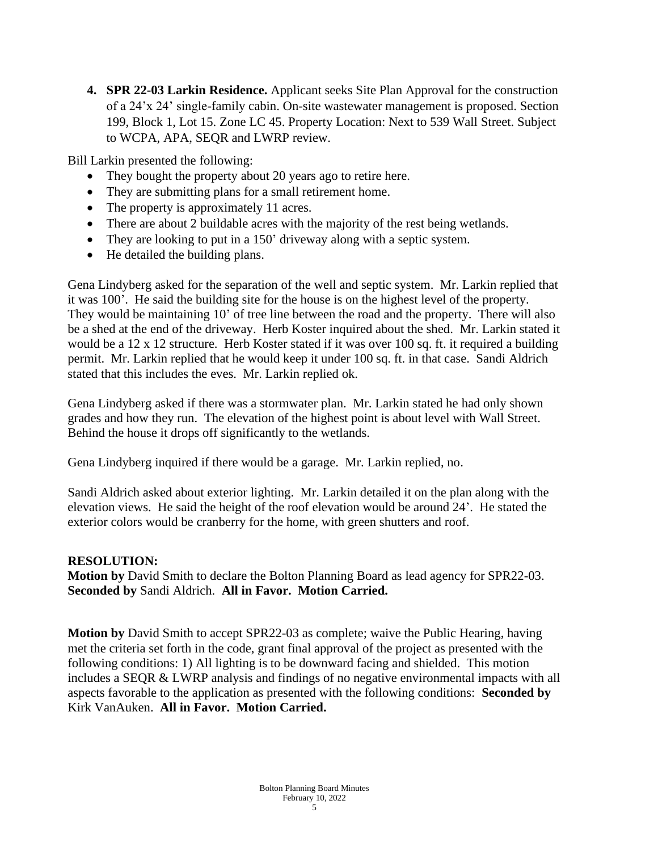**4. SPR 22-03 Larkin Residence.** Applicant seeks Site Plan Approval for the construction of a 24'x 24' single-family cabin. On-site wastewater management is proposed. Section 199, Block 1, Lot 15. Zone LC 45. Property Location: Next to 539 Wall Street. Subject to WCPA, APA, SEQR and LWRP review.

Bill Larkin presented the following:

- They bought the property about 20 years ago to retire here.
- They are submitting plans for a small retirement home.
- The property is approximately 11 acres.
- There are about 2 buildable acres with the majority of the rest being wetlands.
- They are looking to put in a 150' driveway along with a septic system.
- He detailed the building plans.

Gena Lindyberg asked for the separation of the well and septic system. Mr. Larkin replied that it was 100'. He said the building site for the house is on the highest level of the property. They would be maintaining 10' of tree line between the road and the property. There will also be a shed at the end of the driveway. Herb Koster inquired about the shed. Mr. Larkin stated it would be a 12 x 12 structure. Herb Koster stated if it was over 100 sq. ft. it required a building permit. Mr. Larkin replied that he would keep it under 100 sq. ft. in that case. Sandi Aldrich stated that this includes the eves. Mr. Larkin replied ok.

Gena Lindyberg asked if there was a stormwater plan. Mr. Larkin stated he had only shown grades and how they run. The elevation of the highest point is about level with Wall Street. Behind the house it drops off significantly to the wetlands.

Gena Lindyberg inquired if there would be a garage. Mr. Larkin replied, no.

Sandi Aldrich asked about exterior lighting. Mr. Larkin detailed it on the plan along with the elevation views. He said the height of the roof elevation would be around 24'. He stated the exterior colors would be cranberry for the home, with green shutters and roof.

## **RESOLUTION:**

**Motion by** David Smith to declare the Bolton Planning Board as lead agency for SPR22-03. **Seconded by** Sandi Aldrich. **All in Favor. Motion Carried.** 

**Motion by** David Smith to accept SPR22-03 as complete; waive the Public Hearing, having met the criteria set forth in the code, grant final approval of the project as presented with the following conditions: 1) All lighting is to be downward facing and shielded. This motion includes a SEQR & LWRP analysis and findings of no negative environmental impacts with all aspects favorable to the application as presented with the following conditions: **Seconded by** Kirk VanAuken. **All in Favor. Motion Carried.**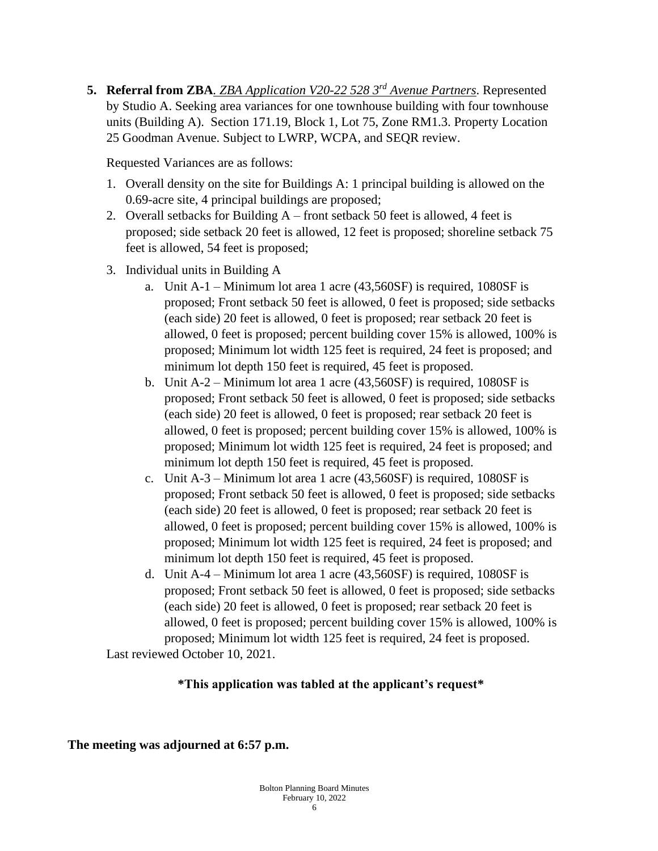**5. Referral from ZBA***. ZBA Application V20-22 528 3rd Avenue Partners*. Represented by Studio A. Seeking area variances for one townhouse building with four townhouse units (Building A). Section 171.19, Block 1, Lot 75, Zone RM1.3. Property Location 25 Goodman Avenue. Subject to LWRP, WCPA, and SEQR review.

Requested Variances are as follows:

- 1. Overall density on the site for Buildings A: 1 principal building is allowed on the 0.69-acre site, 4 principal buildings are proposed;
- 2. Overall setbacks for Building A front setback 50 feet is allowed, 4 feet is proposed; side setback 20 feet is allowed, 12 feet is proposed; shoreline setback 75 feet is allowed, 54 feet is proposed;
- 3. Individual units in Building A
	- a. Unit A-1 Minimum lot area 1 acre (43,560SF) is required, 1080SF is proposed; Front setback 50 feet is allowed, 0 feet is proposed; side setbacks (each side) 20 feet is allowed, 0 feet is proposed; rear setback 20 feet is allowed, 0 feet is proposed; percent building cover 15% is allowed, 100% is proposed; Minimum lot width 125 feet is required, 24 feet is proposed; and minimum lot depth 150 feet is required, 45 feet is proposed.
	- b. Unit A-2 Minimum lot area 1 acre (43,560SF) is required, 1080SF is proposed; Front setback 50 feet is allowed, 0 feet is proposed; side setbacks (each side) 20 feet is allowed, 0 feet is proposed; rear setback 20 feet is allowed, 0 feet is proposed; percent building cover 15% is allowed, 100% is proposed; Minimum lot width 125 feet is required, 24 feet is proposed; and minimum lot depth 150 feet is required, 45 feet is proposed.
	- c. Unit A-3 Minimum lot area 1 acre (43,560SF) is required, 1080SF is proposed; Front setback 50 feet is allowed, 0 feet is proposed; side setbacks (each side) 20 feet is allowed, 0 feet is proposed; rear setback 20 feet is allowed, 0 feet is proposed; percent building cover 15% is allowed, 100% is proposed; Minimum lot width 125 feet is required, 24 feet is proposed; and minimum lot depth 150 feet is required, 45 feet is proposed.
	- d. Unit A-4 Minimum lot area 1 acre (43,560SF) is required, 1080SF is proposed; Front setback 50 feet is allowed, 0 feet is proposed; side setbacks (each side) 20 feet is allowed, 0 feet is proposed; rear setback 20 feet is allowed, 0 feet is proposed; percent building cover 15% is allowed, 100% is proposed; Minimum lot width 125 feet is required, 24 feet is proposed.

Last reviewed October 10, 2021.

# **\*This application was tabled at the applicant's request\***

**The meeting was adjourned at 6:57 p.m.**